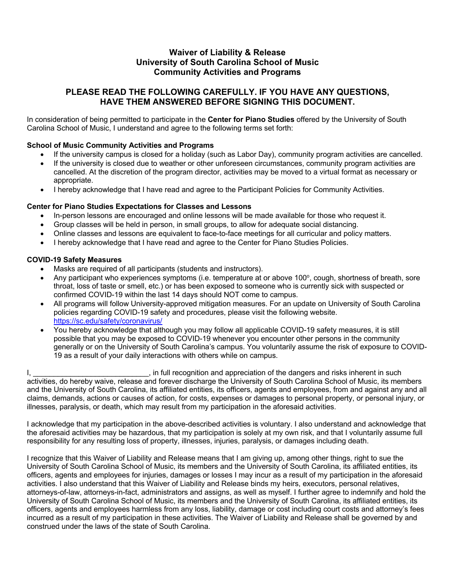# **Waiver of Liability & Release University of South Carolina School of Music Community Activities and Programs**

# **PLEASE READ THE FOLLOWING CAREFULLY. IF YOU HAVE ANY QUESTIONS, HAVE THEM ANSWERED BEFORE SIGNING THIS DOCUMENT.**

In consideration of being permitted to participate in the **Center for Piano Studies** offered by the University of South Carolina School of Music, I understand and agree to the following terms set forth:

### **School of Music Community Activities and Programs**

- If the university campus is closed for a holiday (such as Labor Day), community program activities are cancelled.
- If the university is closed due to weather or other unforeseen circumstances, community program activities are cancelled. At the discretion of the program director, activities may be moved to a virtual format as necessary or appropriate.
- I hereby acknowledge that I have read and agree to the Participant Policies for Community Activities.

#### **Center for Piano Studies Expectations for Classes and Lessons**

- In-person lessons are encouraged and online lessons will be made available for those who request it.
- Group classes will be held in person, in small groups, to allow for adequate social distancing.
- Online classes and lessons are equivalent to face-to-face meetings for all curricular and policy matters.
- I hereby acknowledge that I have read and agree to the Center for Piano Studies Policies.

#### **COVID-19 Safety Measures**

- Masks are required of all participants (students and instructors).
- Any participant who experiences symptoms (i.e. temperature at or above 100°, cough, shortness of breath, sore throat, loss of taste or smell, etc.) or has been exposed to someone who is currently sick with suspected or confirmed COVID-19 within the last 14 days should NOT come to campus.
- All programs will follow University-approved mitigation measures. For an update on University of South Carolina policies regarding COVID-19 safety and procedures, please visit the following website. https://sc.edu/safety/coronavirus/
- You hereby acknowledge that although you may follow all applicable COVID-19 safety measures, it is still possible that you may be exposed to COVID-19 whenever you encounter other persons in the community generally or on the University of South Carolina's campus. You voluntarily assume the risk of exposure to COVID-19 as a result of your daily interactions with others while on campus.

I, **we can construct the intervals in full recognition and appreciation of the dangers and risks inherent in such** activities, do hereby waive, release and forever discharge the University of South Carolina School of Music, its members and the University of South Carolina, its affiliated entities, its officers, agents and employees, from and against any and all claims, demands, actions or causes of action, for costs, expenses or damages to personal property, or personal injury, or illnesses, paralysis, or death, which may result from my participation in the aforesaid activities.

I acknowledge that my participation in the above-described activities is voluntary. I also understand and acknowledge that the aforesaid activities may be hazardous, that my participation is solely at my own risk, and that I voluntarily assume full responsibility for any resulting loss of property, illnesses, injuries, paralysis, or damages including death.

I recognize that this Waiver of Liability and Release means that I am giving up, among other things, right to sue the University of South Carolina School of Music, its members and the University of South Carolina, its affiliated entities, its officers, agents and employees for injuries, damages or losses I may incur as a result of my participation in the aforesaid activities. I also understand that this Waiver of Liability and Release binds my heirs, executors, personal relatives, attorneys-of-law, attorneys-in-fact, administrators and assigns, as well as myself. I further agree to indemnify and hold the University of South Carolina School of Music, its members and the University of South Carolina, its affiliated entities, its officers, agents and employees harmless from any loss, liability, damage or cost including court costs and attorney's fees incurred as a result of my participation in these activities. The Waiver of Liability and Release shall be governed by and construed under the laws of the state of South Carolina.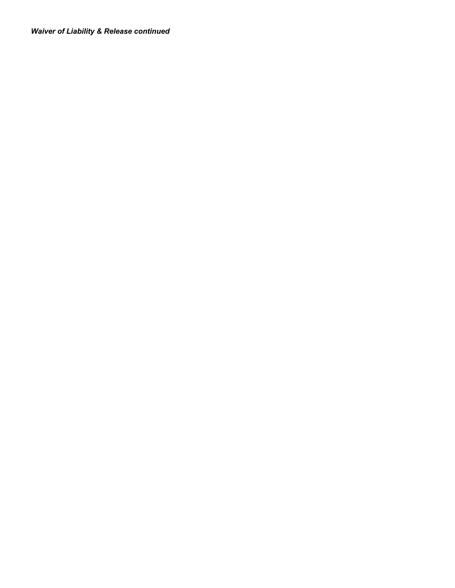*Waiver of Liability & Release continued*